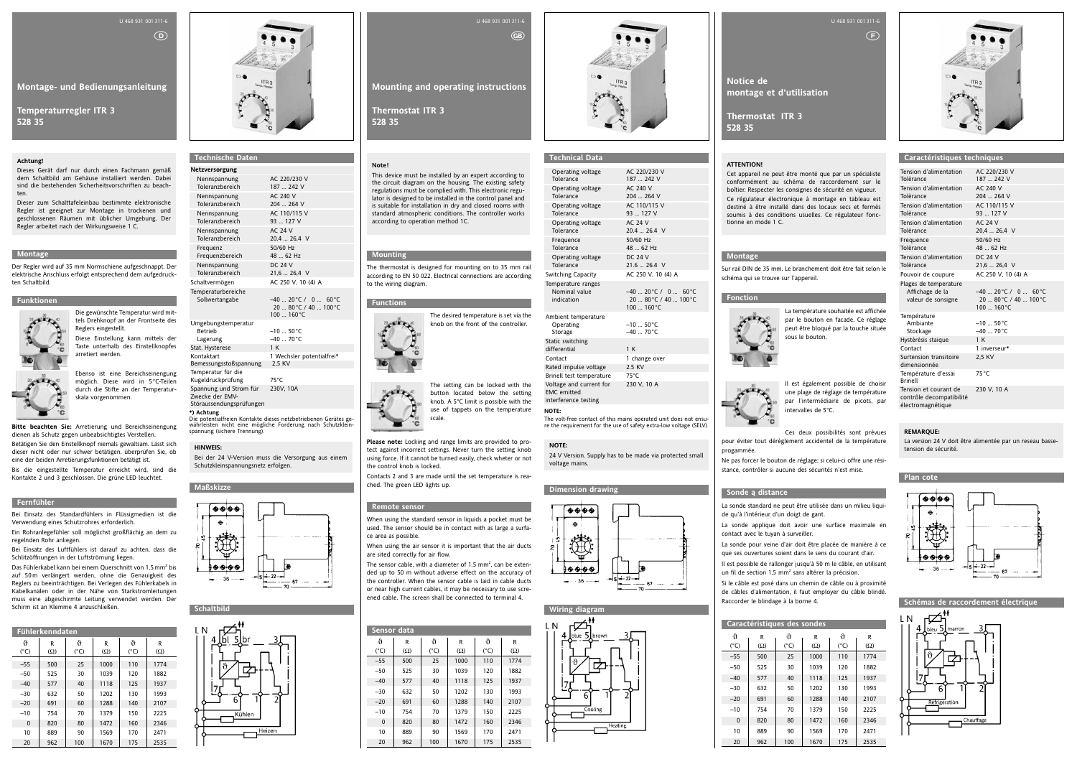**Montage- und Bedienungsanleitung**

**Temperaturregler ITR 3 528 35**

### U 468 931 001 311-6

 $\odot$ 

### **Montage**

Der Regler wird auf 35 mm Normschiene aufgeschnappt. Der elektrische Anschluss erfolgt entsprechend dem aufgedruckten Schaltbild.

### **Funktionen**



Die gewünschte Temperatur wird mit-

tels Drehknopf an der Frontseite des Reglers eingestellt. Diese Einstellung kann mittels der Taste unterhalb des Einstellknopfes arretiert werden.

Ebenso ist eine Bereichseinengung möglich. Diese wird in 5°C-Teilen durch die Stifte an der Temperaturskala vorgenommen.

**Bitte beachten Sie:** Arretierung und Bereichseinengung dienen als Schutz gegen unbeabsichtigtes Verstellen.

Betätigen Sie den Einstellknopf niemals gewaltsam. Lässt sich dieser nicht oder nur schwer betätigen, überprüfen Sie, ob eine der beiden Arretierungsfunktionen betätigt ist.

Das Fühlerkabel kann bei einem Querschnitt von 1,5 mm<sup>2</sup> bis auf 50 m verlängert werden, ohne die Genauigkeit des Reglers zu beeinträchtigen. Bei Verlegen des Fühlerkabels in Kabelkanälen oder in der Nähe von Starkstromleitungen muss eine abgeschirmte Leitung verwendet werden. Der Schirm ist an Klemme 4 anzuschließen.

Bis die eingestellte Temperatur erreicht wird, sind die Kontakte 2 und 3 geschlossen. Die grüne LED leuchtet.

### **Fernfühler**

Bei Einsatz des Standardfühlers in Flüssigmedien ist die Verwendung eines Schutzrohres erforderlich.

Ein Rohranlegefühler soll möglichst großflächig an dem zu regelnden Rohr anliegen.

Bei Einsatz des Luftfühlers ist darauf zu achten, dass die Schlitzöffnungen in der Luftströmung liegen.

Lagerung  $-40$  ...  $70^{\circ}$ C Stat. Hysterese 1 K Kontaktart 1 Wechsler potentialfrei\* Bemessungsstoßspannung 2,5 KV Temperatur für die

Kugeldruckprüfung 75°C<br>Spannung und Strom für 730V 10A Spannung und Strom für Zwecke der EMV-Störaussendungsprüfungen

|                    | <b>Fühlerkenndaten</b> |                    |                 |                    |                 |  |
|--------------------|------------------------|--------------------|-----------------|--------------------|-----------------|--|
| ↑<br>$(^{\circ}C)$ | R<br>$(\Omega)$        | Ֆ<br>$(^{\circ}C)$ | R<br>$(\Omega)$ | Ֆ<br>$(^{\circ}C)$ | R<br>$(\Omega)$ |  |
| $-55$              | 500                    | 25                 | 1000            | 110                | 1774            |  |
| $-50$              | 525                    | 30                 | 1039            | 120                | 1882            |  |
| $-40$              | 577                    | 40                 | 1118            | 125                | 1937            |  |
| $-30$              | 632                    | 50                 | 1202            | 130                | 1993            |  |
| $-20$              | 691                    | 60                 | 1288            | 140                | 2107            |  |
| $-10$              | 754                    | 70                 | 1379            | 150                | 2225            |  |
| $\mathbf{0}$       | 820                    | 80                 | 1472            | 160                | 2346            |  |
| 10                 | 889                    | 90                 | 1569            | 170                | 2471            |  |
| 20                 | 962                    | 100                | 1670            | 175                | 2535            |  |



### **Achtung!**

Dieses Gerät darf nur durch einen Fachmann gemäß dem Schaltbild am Gehäuse installiert werden. Dabei sind die bestehenden Sicherheitsvorschriften zu beachten.

Dieser zum Schalttafeleinbau bestimmte elektronische Regler ist geeignet zur Montage in trockenen und geschlossenen Räumen mit üblicher Umgebung. Der Regler arbeitet nach der Wirkungsweise 1 C.

**Technische Daten Netzversorgung**

| Nennspannung                                   | AC 220/230 V                                                          |
|------------------------------------------------|-----------------------------------------------------------------------|
| Toleranzbereich                                | 187  242 V                                                            |
| Nennspannung                                   | AC 240 V                                                              |
| Toleranzbereich                                | 204  264 V                                                            |
| Nennspannung                                   | AC 110/115 V                                                          |
| Toleranzbereich                                | 93  127 V                                                             |
| Nennspannung                                   | <b>AC 24 V</b>                                                        |
| Toleranzbereich                                | $20.4 - 26.4$ V                                                       |
| Frequenz                                       | 50/60 Hz                                                              |
| Frequenzbereich                                | 48  62 Hz                                                             |
| Nennspannung                                   | <b>DC 24 V</b>                                                        |
| Toleranzbereich                                | $21.6$ 26.4 V                                                         |
| Schaltvermögen                                 | AC 250 V, 10 (4) A                                                    |
| Temperaturbereiche<br>Sollwertangabe           | $-40$ 20°C / 0  60°C<br>20  80°C / 40  100°C<br>$100 - 160^{\circ}$ C |
| Umgebungstemperatur<br><b>Betrieb</b><br>1.258 | $-10$ 50 $^{\circ}$ C<br>$\lambda$ <sup>20</sup>                      |

**\*) Achtung** Die potentialfreien Kontakte dieses netzbetriebenen Gerätes ge-

# **Mounting and operating instructions** U 468 931 001 311-6  $<sub>GB</sub>$ </sub>

währleisten nicht eine mögliche Forderung nach Schutzklein-spannung (sichere Trennung).







### **HINWEIS:**

Bei der 24 V-Version muss die Versorgung aus einem Schutzkleinspannungsnetz erfolgen.

**Notice de montage et d'utilisation**

**Thermostat ITR 3 528 35**

U 468 931 001 311-6

 $(F)$ 

### **Montage**

Sur rail DIN de 35 mm. Le branchement doit être fait selon le schéma qui se trouve sur l'appereil.

### **Fonction**



La température souhaitée est affichée par le bouton en facade. Ce réglage peut être bloqué par la touche située

sous le bouton.



Il est également possible de choisir une plage de réglage de température par l'intermédiaire de picots, par

intervalles de 5°C.

The sensor cable, with a diameter of 1.5 mm<sup>2</sup>, can be extended up to 50 m without adverse effect on the accuracy of the controller. When the sensor cable is laid in cable ducts or near high current cables, it may be necessary to use screened cable. The screen shall be connected to terminal 4.

Ces deux possibilités sont prévues



pour éviter tout dérèglement accidentel de la température progammée.

Ne pas forcer le bouton de réglage; si celui-ci offre une résistance, contrôler si aucune des sécurités n'est mise.

### **Sonde ą distance**

La sonde standard ne peut être utilisée dans un milieu liquide qu'à l'intérieur d'un doigt de gant. La sonde applique doit avoir une surface maximale en contact avec le tuyan à surveiller. La sonde pour veine d'air doit être placée de manière à ce que ses ouvertures soient dans le sens du courant d'air. Il est possible de rallonger jusqu'à 50 m le câble, en utilisant un fil de section 1,5 mm<sup>2</sup> sans altérer la précision. Si le câble est posé dans un chemin de câble ou à proximité de câbles d'alimentation, il faut employer du câble blindé. Raccorder le blindage à la borne 4.

EMC e interfe **NOTE:**

| Caractéristiques des sondes |            |               |            |               |            |
|-----------------------------|------------|---------------|------------|---------------|------------|
| ^                           | R          | Գ             | R          | ^             | R          |
| $(^{\circ}C)$               | $(\Omega)$ | $(^{\circ}C)$ | $(\Omega)$ | $(^{\circ}C)$ | $(\Omega)$ |
| $-55$                       | 500        | 25            | 1000       | 110           | 1774       |
| $-50$                       | 525        | 30            | 1039       | 120           | 1882       |
| $-40$                       | 577        | 40            | 1118       | 125           | 1937       |
| $-30$                       | 632        | 50            | 1202       | 130           | 1993       |
| $-20$                       | 691        | 60            | 1288       | 140           | 2107       |
| $-10$                       | 754        | 70            | 1379       | 150           | 2225       |
| $\mathbf{0}$                | 820        | 80            | 1472       | 160           | 2346       |
| 10                          | 889        | 90            | 1569       | 170           | 2471       |
| 20                          | 962        | 100           | 1670       | 175           | 2535       |

| Đ         |                                          |
|-----------|------------------------------------------|
|           |                                          |
|           | ≟– 22                                    |
| $-36 - -$ | 15 <sup>1</sup><br>$-$ 67 $\cdots$<br>70 |

### **ATTENTION!**

Cet appareil ne peut être monté que par un spécialiste conformément au schéma de raccordement sur le boîtier. Respecter les consignes de sécurité en vigueur. Ce régulateur électronique à montage en tableau est destiné à être installé dans des locaux secs et fermés soumis à des conditions usuelles. Ce régulateur fonctionne en mode 1 C.

### **Caractéristiques techniques**

| Tension d'alimentation<br>Tolèrance                                    | AC 220/230 V<br>187  242 V                                                |
|------------------------------------------------------------------------|---------------------------------------------------------------------------|
| Tension d'alimentation<br>Tolèrance                                    | AC 240 V<br>204  264 V                                                    |
| Tension d'alimentation<br>Tolèrance                                    | AC 110/115 V<br>93  127 V                                                 |
| Tension d'alimentation<br>Tolèrance                                    | <b>AC 24 V</b><br>$20.4 - 26.4$ V                                         |
| Frequence<br>Tolèrance                                                 | 50/60 Hz<br>48  62 Hz                                                     |
| Tension d'alimentation<br>Tolèrance                                    | <b>DC 24 V</b><br>21,6  26,4 V                                            |
| Pouvoir de coupure                                                     | AC 250 V, 10 (4) A                                                        |
| Plages de temperature<br>Affichage de la<br>valeur de sonsigne         | $-40$ 20 °C / 0  60 °C<br>20  80 °C / 40  100 °C<br>$100$ $160^{\circ}$ C |
| Température<br>Ambiante<br>Stockage                                    | $-10$ 50 $^{\circ}$ C<br>$-40 - 70$ °C                                    |
| Hystèrèsis staique                                                     | 1 K                                                                       |
| Contact                                                                | 1 inverseur*                                                              |
| Surtension transitoire<br>dimensionnée                                 | 2.5 KV                                                                    |
| Température d'essai<br>Brinell                                         | $75^{\circ}$ C                                                            |
| Tension et courant de<br>contrôle decompatibilité<br>électromagnétique | 230 V. 10 A                                                               |



**Schémas de raccordement électrique**

### **REMARQUE:**

La version 24 V doit être alimentée par un reseau bassetension de sécurité.

**Thermostat ITR 3 528 35**

### **Mounting**

The thermostat is designed for mounting on to 35 mm rail according to EN 50 022. Electrical connections are according to the wiring diagram.

### **Functions**

20 AVENUE AVE



The setting can be locked with the button located below the setting knob. A 5°C limit is possible with the use of tappets on the temperature scale.

**Please note:** Locking and range limits are provided to protect against incorrect settings. Never turn the setting knob using force. If it cannot be turned easily, check wheter or not the control knob is locked.

Contacts 2 and 3 are made until the set temperature is reached. The green LED lights up.

### **Remote sensor**

When using the standard sensor in liquids a pocket must be used. The sensor should be in contact with as large a surface area as possible.

When using the air sensor it is important that the air ducts are sited correctly for air flow.

|                    | <b>Sensor data</b> |                    |                 |                    |                 |  |  |
|--------------------|--------------------|--------------------|-----------------|--------------------|-----------------|--|--|
| ↑<br>$(^{\circ}C)$ | R<br>$(\Omega)$    | Ֆ<br>$(^{\circ}C)$ | R<br>$(\Omega)$ | ^<br>$(^{\circ}C)$ | R<br>$(\Omega)$ |  |  |
| $-55$              | 500                | 25                 | 1000            | 110                | 1774            |  |  |
| $-50$              | 525                | 30                 | 1039            | 120                | 1882            |  |  |
| $-40$              | 577                | 40                 | 1118            | 125                | 1937            |  |  |
| $-30$              | 632                | 50                 | 1202            | 130                | 1993            |  |  |
| $-20$              | 691                | 60                 | 1288            | 140                | 2107            |  |  |
| $-10$              | 754                | 70                 | 1379            | 150                | 2225            |  |  |
| $\mathbf{0}$       | 820                | 80                 | 1472            | 160                | 2346            |  |  |
| 10                 | 889                | 90                 | 1569            | 170                | 2471            |  |  |
| 20                 | 962                | 100                | 1670            | 175                | 2535            |  |  |



### **Note!**

This device must be installed by an expert according to the circuit diagram on the housing. The existing safety regulations must be complied with. This electronic regulator is designed to be installed in the control panel and is suitable for installation in dry and closed rooms with standard atmospheric conditions. The controller works according to operation method 1C.

### **Technical Data**

| Operating voltage<br>Tolerance                                        | AC 220/230 V<br>187  242 V                                     |
|-----------------------------------------------------------------------|----------------------------------------------------------------|
| Operating voltage<br>Tolerance                                        | AC 240 V<br>204  264 V                                         |
| Operating voltage<br>Tolerance                                        | AC 110/115 V<br>93  127 V                                      |
| Operating voltage<br>Tolerance                                        | <b>AC 24 V</b><br>20.4  26.4 V                                 |
| Frequence<br>Tolerance                                                | 50/60 Hz<br>48  62 Hz                                          |
| Operating voltage<br>Tolerance                                        | <b>DC 24 V</b><br>$21.6 - 26.4$ V                              |
| Switching Capacity                                                    | AC 250 V, 10 (4) A                                             |
| Temperature ranges<br>Nominal value<br>indication                     | $-40$ 20 °C / 0  60 °C<br>20  80 °C / 40  100 °C<br>100  160°C |
| Ambient temperature<br>Operating<br>Storage                           | $-10$ 50 $^{\circ}$ C<br>$-40$ 70 $^{\circ}$ C                 |
| Static switching<br>differential                                      | 1 K                                                            |
| Contact                                                               | 1 change over                                                  |
| Rated impulse voltage                                                 | 2.5 KV                                                         |
| Brinell test temperature                                              | $75^{\circ}$ C                                                 |
| Voltage and current for<br><b>EMC</b> emitted<br>interference testing | 230 V, 10 A                                                    |
| .                                                                     |                                                                |

The volt-free contact of this mains operated unit does not ensure the requirement for the use of safety extra-low voltage (SELV).

### **Dimension drawing**





### **NOTE:**

24 V Version. Supply has to be made via protected small voltage mains.